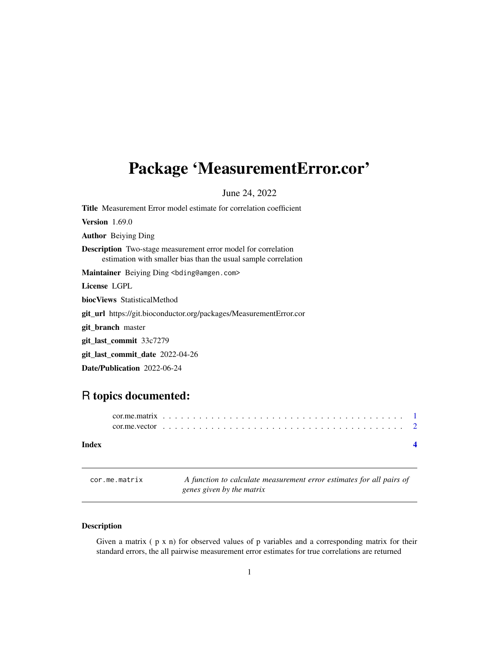# <span id="page-0-0"></span>Package 'MeasurementError.cor'

June 24, 2022

Title Measurement Error model estimate for correlation coefficient Version 1.69.0 Author Beiying Ding Description Two-stage measurement error model for correlation estimation with smaller bias than the usual sample correlation Maintainer Beiying Ding <br/>bding@amgen.com> License LGPL biocViews StatisticalMethod git\_url https://git.bioconductor.org/packages/MeasurementError.cor git\_branch master git\_last\_commit 33c7279 git\_last\_commit\_date 2022-04-26 Date/Publication 2022-06-24

## R topics documented:

| Index |  |
|-------|--|
|       |  |
|       |  |

cor.me.matrix *A function to calculate measurement error estimates for all pairs of genes given by the matrix*

### Description

Given a matrix  $(p \times n)$  for observed values of p variables and a corresponding matrix for their standard errors, the all pairwise measurement error estimates for true correlations are returned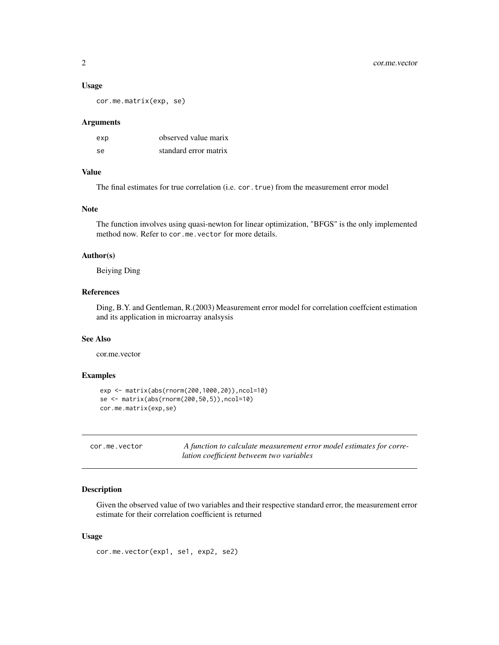#### <span id="page-1-0"></span>Usage

cor.me.matrix(exp, se)

#### Arguments

| exp       | observed value marix  |
|-----------|-----------------------|
| <b>Se</b> | standard error matrix |

#### Value

The final estimates for true correlation (i.e. cor.true) from the measurement error model

#### Note

The function involves using quasi-newton for linear optimization, "BFGS" is the only implemented method now. Refer to cor.me.vector for more details.

#### Author(s)

Beiying Ding

#### References

Ding, B.Y. and Gentleman, R.(2003) Measurement error model for correlation coeffcient estimation and its application in microarray analsysis

#### See Also

cor.me.vector

#### Examples

```
exp <- matrix(abs(rnorm(200,1000,20)),ncol=10)
se <- matrix(abs(rnorm(200,50,5)),ncol=10)
cor.me.matrix(exp,se)
```

| cor.me.vector | A function to calculate measurement error model estimates for corre- |
|---------------|----------------------------------------------------------------------|
|               | lation coefficient betweem two variables                             |

#### Description

Given the observed value of two variables and their respective standard error, the measurement error estimate for their correlation coefficient is returned

#### Usage

cor.me.vector(exp1, se1, exp2, se2)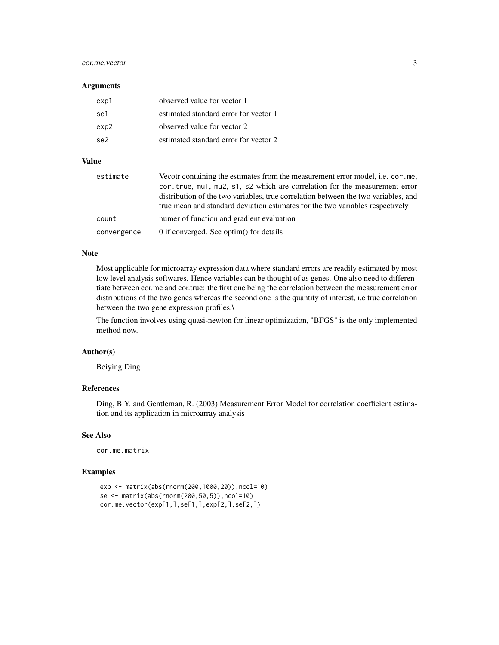#### cor.me.vector 3

#### **Arguments**

| exp1 | observed value for vector 1           |
|------|---------------------------------------|
| se1  | estimated standard error for vector 1 |
| exp2 | observed value for vector 2           |
| se2  | estimated standard error for vector 2 |

#### Value

| estimate    | Vecotr containing the estimates from the measurement error model, i.e. cor.me,<br>cor.true, mu1, mu2, s1, s2 which are correlation for the measurement error<br>distribution of the two variables, true correlation between the two variables, and |
|-------------|----------------------------------------------------------------------------------------------------------------------------------------------------------------------------------------------------------------------------------------------------|
|             | true mean and standard deviation estimates for the two variables respectively                                                                                                                                                                      |
| count       | numer of function and gradient evaluation                                                                                                                                                                                                          |
| convergence | 0 if converged. See optim() for details                                                                                                                                                                                                            |

#### Note

Most applicable for microarray expression data where standard errors are readily estimated by most low level analysis softwares. Hence variables can be thought of as genes. One also need to differentiate between cor.me and cor.true: the first one being the correlation between the measurement error distributions of the two genes whereas the second one is the quantity of interest, i.e true correlation between the two gene expression profiles.\

The function involves using quasi-newton for linear optimization, "BFGS" is the only implemented method now.

#### Author(s)

Beiying Ding

#### References

Ding, B.Y. and Gentleman, R. (2003) Measurement Error Model for correlation coefficient estimation and its application in microarray analysis

### See Also

cor.me.matrix

#### Examples

```
exp <- matrix(abs(rnorm(200,1000,20)),ncol=10)
se <- matrix(abs(rnorm(200,50,5)),ncol=10)
cor.me.vector(exp[1,],se[1,],exp[2,],se[2,])
```